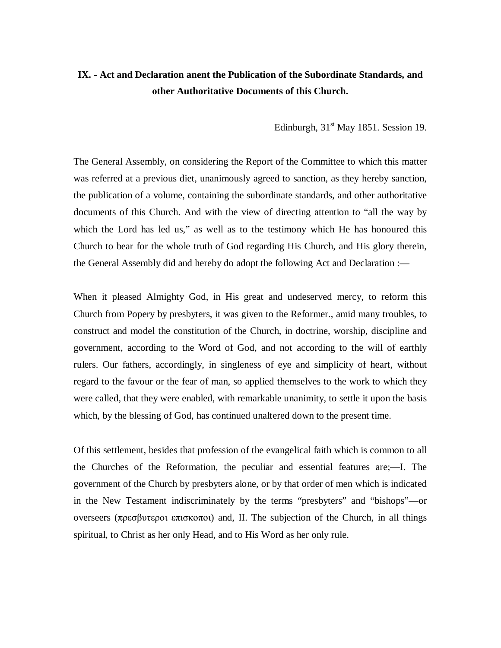## **IX. - Act and Declaration anent the Publication of the Subordinate Standards, and other Authoritative Documents of this Church.**

Edinburgh,  $31<sup>st</sup>$  May 1851. Session 19.

The General Assembly, on considering the Report of the Committee to which this matter was referred at a previous diet, unanimously agreed to sanction, as they hereby sanction, the publication of a volume, containing the subordinate standards, and other authoritative documents of this Church. And with the view of directing attention to "all the way by which the Lord has led us," as well as to the testimony which He has honoured this Church to bear for the whole truth of God regarding His Church, and His glory therein, the General Assembly did and hereby do adopt the following Act and Declaration :—

When it pleased Almighty God, in His great and undeserved mercy, to reform this Church from Popery by presbyters, it was given to the Reformer., amid many troubles, to construct and model the constitution of the Church, in doctrine, worship, discipline and government, according to the Word of God, and not according to the will of earthly rulers. Our fathers, accordingly, in singleness of eye and simplicity of heart, without regard to the favour or the fear of man, so applied themselves to the work to which they were called, that they were enabled, with remarkable unanimity, to settle it upon the basis which, by the blessing of God, has continued unaltered down to the present time.

Of this settlement, besides that profession of the evangelical faith which is common to all the Churches of the Reformation, the peculiar and essential features are;—I. The government of the Church by presbyters alone, or by that order of men which is indicated in the New Testament indiscriminately by the terms "presbyters" and "bishops"—or overseers (πρεσβυτεροι επισκοποι) and, II. The subjection of the Church, in all things spiritual, to Christ as her only Head, and to His Word as her only rule.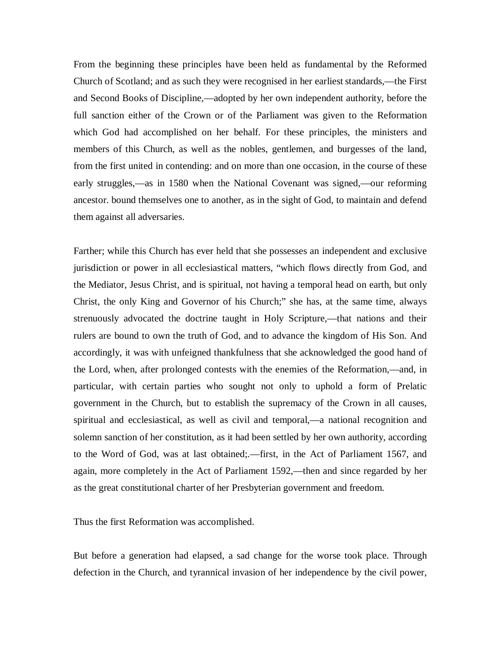From the beginning these principles have been held as fundamental by the Reformed Church of Scotland; and as such they were recognised in her earliest standards,—the First and Second Books of Discipline,—adopted by her own independent authority, before the full sanction either of the Crown or of the Parliament was given to the Reformation which God had accomplished on her behalf. For these principles, the ministers and members of this Church, as well as the nobles, gentlemen, and burgesses of the land, from the first united in contending: and on more than one occasion, in the course of these early struggles,—as in 1580 when the National Covenant was signed,—our reforming ancestor. bound themselves one to another, as in the sight of God, to maintain and defend them against all adversaries.

Farther; while this Church has ever held that she possesses an independent and exclusive jurisdiction or power in all ecclesiastical matters, "which flows directly from God, and the Mediator, Jesus Christ, and is spiritual, not having a temporal head on earth, but only Christ, the only King and Governor of his Church;" she has, at the same time, always strenuously advocated the doctrine taught in Holy Scripture,—that nations and their rulers are bound to own the truth of God, and to advance the kingdom of His Son. And accordingly, it was with unfeigned thankfulness that she acknowledged the good hand of the Lord, when, after prolonged contests with the enemies of the Reformation,—and, in particular, with certain parties who sought not only to uphold a form of Prelatic government in the Church, but to establish the supremacy of the Crown in all causes, spiritual and ecclesiastical, as well as civil and temporal,—a national recognition and solemn sanction of her constitution, as it had been settled by her own authority, according to the Word of God, was at last obtained;.—first, in the Act of Parliament 1567, and again, more completely in the Act of Parliament 1592,—then and since regarded by her as the great constitutional charter of her Presbyterian government and freedom.

Thus the first Reformation was accomplished.

But before a generation had elapsed, a sad change for the worse took place. Through defection in the Church, and tyrannical invasion of her independence by the civil power,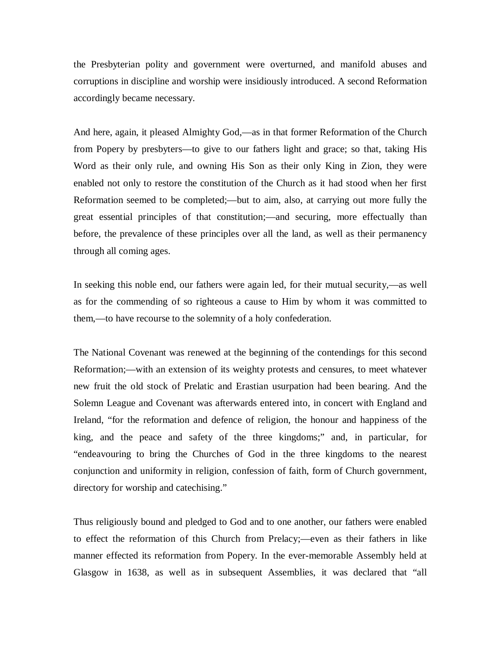the Presbyterian polity and government were overturned, and manifold abuses and corruptions in discipline and worship were insidiously introduced. A second Reformation accordingly became necessary.

And here, again, it pleased Almighty God,—as in that former Reformation of the Church from Popery by presbyters—to give to our fathers light and grace; so that, taking His Word as their only rule, and owning His Son as their only King in Zion, they were enabled not only to restore the constitution of the Church as it had stood when her first Reformation seemed to be completed;—but to aim, also, at carrying out more fully the great essential principles of that constitution;—and securing, more effectually than before, the prevalence of these principles over all the land, as well as their permanency through all coming ages.

In seeking this noble end, our fathers were again led, for their mutual security,—as well as for the commending of so righteous a cause to Him by whom it was committed to them,—to have recourse to the solemnity of a holy confederation.

The National Covenant was renewed at the beginning of the contendings for this second Reformation;—with an extension of its weighty protests and censures, to meet whatever new fruit the old stock of Prelatic and Erastian usurpation had been bearing. And the Solemn League and Covenant was afterwards entered into, in concert with England and Ireland, "for the reformation and defence of religion, the honour and happiness of the king, and the peace and safety of the three kingdoms;" and, in particular, for "endeavouring to bring the Churches of God in the three kingdoms to the nearest conjunction and uniformity in religion, confession of faith, form of Church government, directory for worship and catechising."

Thus religiously bound and pledged to God and to one another, our fathers were enabled to effect the reformation of this Church from Prelacy;—even as their fathers in like manner effected its reformation from Popery. In the ever-memorable Assembly held at Glasgow in 1638, as well as in subsequent Assemblies, it was declared that "all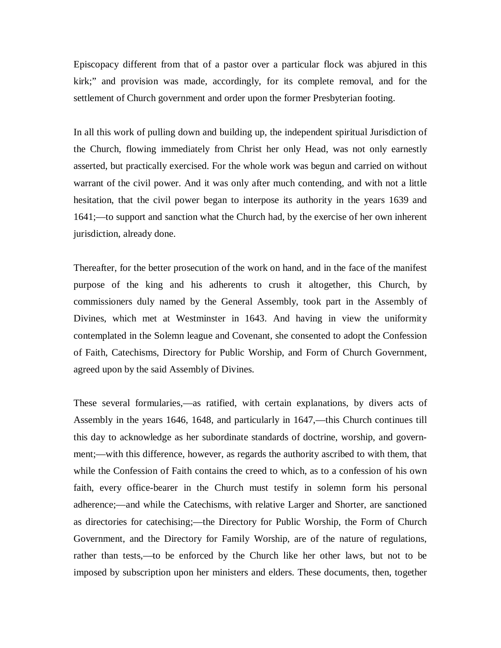Episcopacy different from that of a pastor over a particular flock was abjured in this kirk;" and provision was made, accordingly, for its complete removal, and for the settlement of Church government and order upon the former Presbyterian footing.

In all this work of pulling down and building up, the independent spiritual Jurisdiction of the Church, flowing immediately from Christ her only Head, was not only earnestly asserted, but practically exercised. For the whole work was begun and carried on without warrant of the civil power. And it was only after much contending, and with not a little hesitation, that the civil power began to interpose its authority in the years 1639 and 1641;—to support and sanction what the Church had, by the exercise of her own inherent jurisdiction, already done.

Thereafter, for the better prosecution of the work on hand, and in the face of the manifest purpose of the king and his adherents to crush it altogether, this Church, by commissioners duly named by the General Assembly, took part in the Assembly of Divines, which met at Westminster in 1643. And having in view the uniformity contemplated in the Solemn league and Covenant, she consented to adopt the Confession of Faith, Catechisms, Directory for Public Worship, and Form of Church Government, agreed upon by the said Assembly of Divines.

These several formularies,—as ratified, with certain explanations, by divers acts of Assembly in the years 1646, 1648, and particularly in 1647,—this Church continues till this day to acknowledge as her subordinate standards of doctrine, worship, and government;—with this difference, however, as regards the authority ascribed to with them, that while the Confession of Faith contains the creed to which, as to a confession of his own faith, every office-bearer in the Church must testify in solemn form his personal adherence;—and while the Catechisms, with relative Larger and Shorter, are sanctioned as directories for catechising;—the Directory for Public Worship, the Form of Church Government, and the Directory for Family Worship, are of the nature of regulations, rather than tests,—to be enforced by the Church like her other laws, but not to be imposed by subscription upon her ministers and elders. These documents, then, together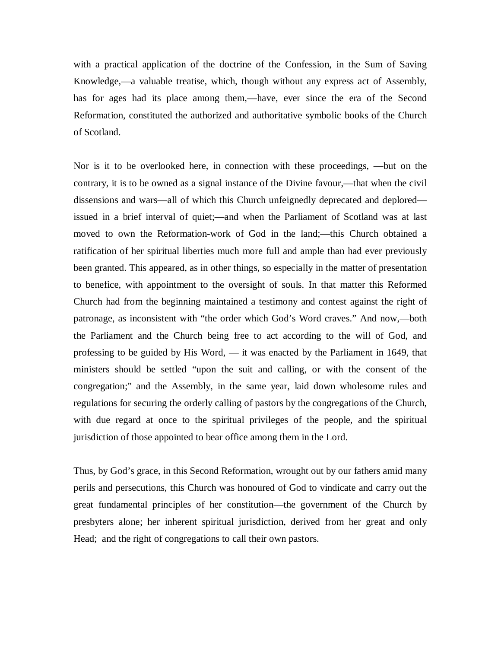with a practical application of the doctrine of the Confession, in the Sum of Saving Knowledge,—a valuable treatise, which, though without any express act of Assembly, has for ages had its place among them,—have, ever since the era of the Second Reformation, constituted the authorized and authoritative symbolic books of the Church of Scotland.

Nor is it to be overlooked here, in connection with these proceedings, —but on the contrary, it is to be owned as a signal instance of the Divine favour,—that when the civil dissensions and wars—all of which this Church unfeignedly deprecated and deplored issued in a brief interval of quiet;—and when the Parliament of Scotland was at last moved to own the Reformation-work of God in the land;—this Church obtained a ratification of her spiritual liberties much more full and ample than had ever previously been granted. This appeared, as in other things, so especially in the matter of presentation to benefice, with appointment to the oversight of souls. In that matter this Reformed Church had from the beginning maintained a testimony and contest against the right of patronage, as inconsistent with "the order which God's Word craves." And now,—both the Parliament and the Church being free to act according to the will of God, and professing to be guided by His Word, — it was enacted by the Parliament in 1649, that ministers should be settled "upon the suit and calling, or with the consent of the congregation;" and the Assembly, in the same year, laid down wholesome rules and regulations for securing the orderly calling of pastors by the congregations of the Church, with due regard at once to the spiritual privileges of the people, and the spiritual jurisdiction of those appointed to bear office among them in the Lord.

Thus, by God's grace, in this Second Reformation, wrought out by our fathers amid many perils and persecutions, this Church was honoured of God to vindicate and carry out the great fundamental principles of her constitution—the government of the Church by presbyters alone; her inherent spiritual jurisdiction, derived from her great and only Head; and the right of congregations to call their own pastors.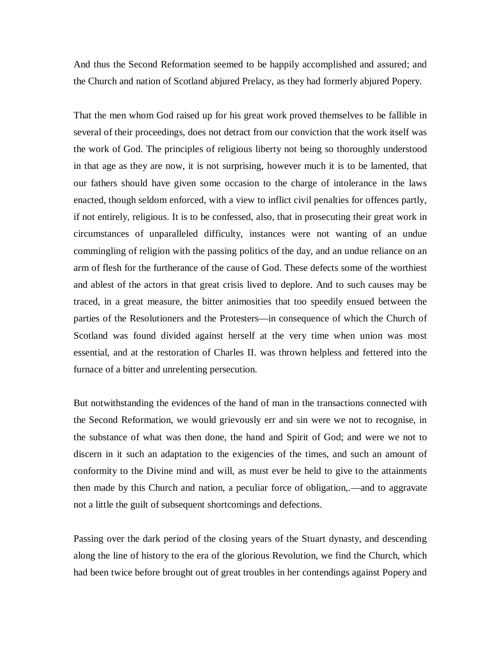And thus the Second Reformation seemed to be happily accomplished and assured; and the Church and nation of Scotland abjured Prelacy, as they had formerly abjured Popery.

That the men whom God raised up for his great work proved themselves to be fallible in several of their proceedings, does not detract from our conviction that the work itself was the work of God. The principles of religious liberty not being so thoroughly understood in that age as they are now, it is not surprising, however much it is to be lamented, that our fathers should have given some occasion to the charge of intolerance in the laws enacted, though seldom enforced, with a view to inflict civil penalties for offences partly, if not entirely, religious. It is to be confessed, also, that in prosecuting their great work in circumstances of unparalleled difficulty, instances were not wanting of an undue commingling of religion with the passing politics of the day, and an undue reliance on an arm of flesh for the furtherance of the cause of God. These defects some of the worthiest and ablest of the actors in that great crisis lived to deplore. And to such causes may be traced, in a great measure, the bitter animosities that too speedily ensued between the parties of the Resolutioners and the Protesters—in consequence of which the Church of Scotland was found divided against herself at the very time when union was most essential, and at the restoration of Charles II. was thrown helpless and fettered into the furnace of a bitter and unrelenting persecution.

But notwithstanding the evidences of the hand of man in the transactions connected with the Second Reformation, we would grievously err and sin were we not to recognise, in the substance of what was then done, the hand and Spirit of God; and were we not to discern in it such an adaptation to the exigencies of the times, and such an amount of conformity to the Divine mind and will, as must ever be held to give to the attainments then made by this Church and nation, a peculiar force of obligation,.—and to aggravate not a little the guilt of subsequent shortcomings and defections.

Passing over the dark period of the closing years of the Stuart dynasty, and descending along the line of history to the era of the glorious Revolution, we find the Church, which had been twice before brought out of great troubles in her contendings against Popery and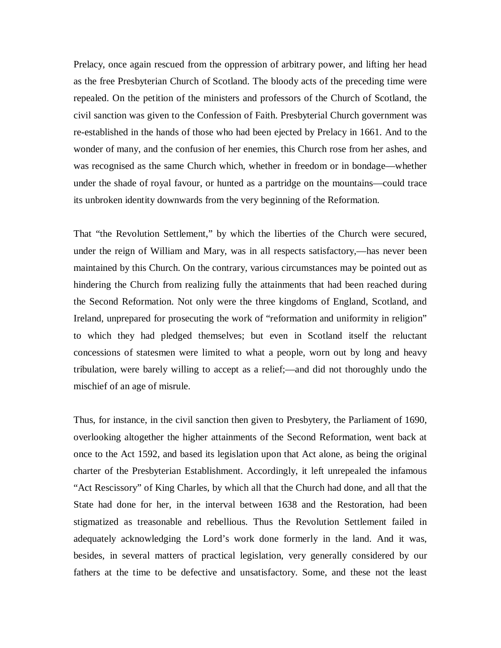Prelacy, once again rescued from the oppression of arbitrary power, and lifting her head as the free Presbyterian Church of Scotland. The bloody acts of the preceding time were repealed. On the petition of the ministers and professors of the Church of Scotland, the civil sanction was given to the Confession of Faith. Presbyterial Church government was re-established in the hands of those who had been ejected by Prelacy in 1661. And to the wonder of many, and the confusion of her enemies, this Church rose from her ashes, and was recognised as the same Church which, whether in freedom or in bondage—whether under the shade of royal favour, or hunted as a partridge on the mountains—could trace its unbroken identity downwards from the very beginning of the Reformation.

That "the Revolution Settlement," by which the liberties of the Church were secured, under the reign of William and Mary, was in all respects satisfactory,—has never been maintained by this Church. On the contrary, various circumstances may be pointed out as hindering the Church from realizing fully the attainments that had been reached during the Second Reformation. Not only were the three kingdoms of England, Scotland, and Ireland, unprepared for prosecuting the work of "reformation and uniformity in religion" to which they had pledged themselves; but even in Scotland itself the reluctant concessions of statesmen were limited to what a people, worn out by long and heavy tribulation, were barely willing to accept as a relief;—and did not thoroughly undo the mischief of an age of misrule.

Thus, for instance, in the civil sanction then given to Presbytery, the Parliament of 1690, overlooking altogether the higher attainments of the Second Reformation, went back at once to the Act 1592, and based its legislation upon that Act alone, as being the original charter of the Presbyterian Establishment. Accordingly, it left unrepealed the infamous "Act Rescissory" of King Charles, by which all that the Church had done, and all that the State had done for her, in the interval between 1638 and the Restoration, had been stigmatized as treasonable and rebellious. Thus the Revolution Settlement failed in adequately acknowledging the Lord's work done formerly in the land. And it was, besides, in several matters of practical legislation, very generally considered by our fathers at the time to be defective and unsatisfactory. Some, and these not the least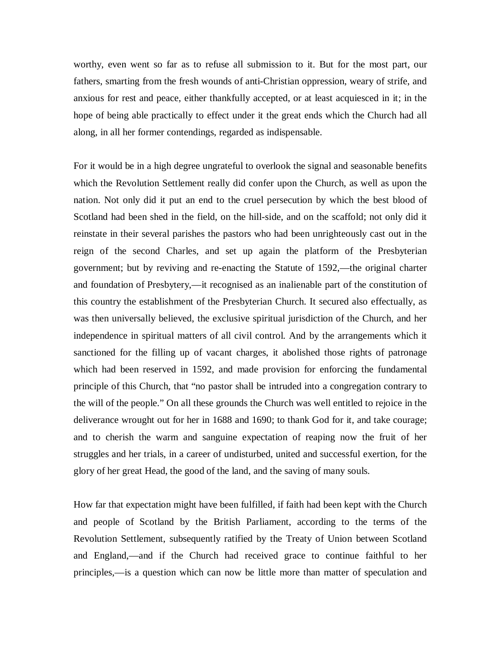worthy, even went so far as to refuse all submission to it. But for the most part, our fathers, smarting from the fresh wounds of anti-Christian oppression, weary of strife, and anxious for rest and peace, either thankfully accepted, or at least acquiesced in it; in the hope of being able practically to effect under it the great ends which the Church had all along, in all her former contendings, regarded as indispensable.

For it would be in a high degree ungrateful to overlook the signal and seasonable benefits which the Revolution Settlement really did confer upon the Church, as well as upon the nation. Not only did it put an end to the cruel persecution by which the best blood of Scotland had been shed in the field, on the hill-side, and on the scaffold; not only did it reinstate in their several parishes the pastors who had been unrighteously cast out in the reign of the second Charles, and set up again the platform of the Presbyterian government; but by reviving and re-enacting the Statute of 1592,—the original charter and foundation of Presbytery,—it recognised as an inalienable part of the constitution of this country the establishment of the Presbyterian Church. It secured also effectually, as was then universally believed, the exclusive spiritual jurisdiction of the Church, and her independence in spiritual matters of all civil control. And by the arrangements which it sanctioned for the filling up of vacant charges, it abolished those rights of patronage which had been reserved in 1592, and made provision for enforcing the fundamental principle of this Church, that "no pastor shall be intruded into a congregation contrary to the will of the people." On all these grounds the Church was well entitled to rejoice in the deliverance wrought out for her in 1688 and 1690; to thank God for it, and take courage; and to cherish the warm and sanguine expectation of reaping now the fruit of her struggles and her trials, in a career of undisturbed, united and successful exertion, for the glory of her great Head, the good of the land, and the saving of many souls.

How far that expectation might have been fulfilled, if faith had been kept with the Church and people of Scotland by the British Parliament, according to the terms of the Revolution Settlement, subsequently ratified by the Treaty of Union between Scotland and England,—and if the Church had received grace to continue faithful to her principles,—is a question which can now be little more than matter of speculation and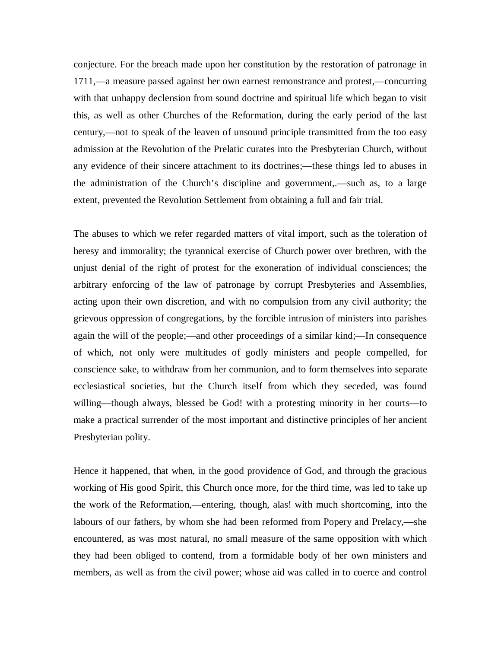conjecture. For the breach made upon her constitution by the restoration of patronage in 1711,—a measure passed against her own earnest remonstrance and protest,—concurring with that unhappy declension from sound doctrine and spiritual life which began to visit this, as well as other Churches of the Reformation, during the early period of the last century,—not to speak of the leaven of unsound principle transmitted from the too easy admission at the Revolution of the Prelatic curates into the Presbyterian Church, without any evidence of their sincere attachment to its doctrines;—these things led to abuses in the administration of the Church's discipline and government,.—such as, to a large extent, prevented the Revolution Settlement from obtaining a full and fair trial.

The abuses to which we refer regarded matters of vital import, such as the toleration of heresy and immorality; the tyrannical exercise of Church power over brethren, with the unjust denial of the right of protest for the exoneration of individual consciences; the arbitrary enforcing of the law of patronage by corrupt Presbyteries and Assemblies, acting upon their own discretion, and with no compulsion from any civil authority; the grievous oppression of congregations, by the forcible intrusion of ministers into parishes again the will of the people;—and other proceedings of a similar kind;—In consequence of which, not only were multitudes of godly ministers and people compelled, for conscience sake, to withdraw from her communion, and to form themselves into separate ecclesiastical societies, but the Church itself from which they seceded, was found willing—though always, blessed be God! with a protesting minority in her courts—to make a practical surrender of the most important and distinctive principles of her ancient Presbyterian polity.

Hence it happened, that when, in the good providence of God, and through the gracious working of His good Spirit, this Church once more, for the third time, was led to take up the work of the Reformation,—entering, though, alas! with much shortcoming, into the labours of our fathers, by whom she had been reformed from Popery and Prelacy,—she encountered, as was most natural, no small measure of the same opposition with which they had been obliged to contend, from a formidable body of her own ministers and members, as well as from the civil power; whose aid was called in to coerce and control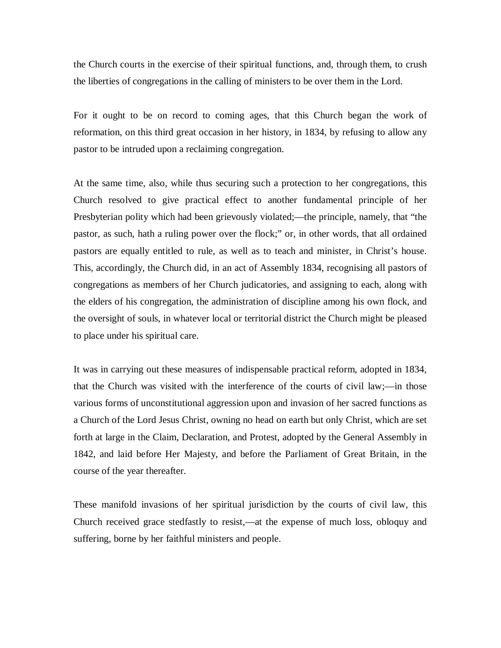the Church courts in the exercise of their spiritual functions, and, through them, to crush the liberties of congregations in the calling of ministers to be over them in the Lord.

For it ought to be on record to coming ages, that this Church began the work of reformation, on this third great occasion in her history, in 1834, by refusing to allow any pastor to be intruded upon a reclaiming congregation.

At the same time, also, while thus securing such a protection to her congregations, this Church resolved to give practical effect to another fundamental principle of her Presbyterian polity which had been grievously violated;—the principle, namely, that "the pastor, as such, hath a ruling power over the flock;" or, in other words, that all ordained pastors are equally entitled to rule, as well as to teach and minister, in Christ's house. This, accordingly, the Church did, in an act of Assembly 1834, recognising all pastors of congregations as members of her Church judicatories, and assigning to each, along with the elders of his congregation, the administration of discipline among his own flock, and the oversight of souls, in whatever local or territorial district the Church might be pleased to place under his spiritual care.

It was in carrying out these measures of indispensable practical reform, adopted in 1834, that the Church was visited with the interference of the courts of civil law;—in those various forms of unconstitutional aggression upon and invasion of her sacred functions as a Church of the Lord Jesus Christ, owning no head on earth but only Christ, which are set forth at large in the Claim, Declaration, and Protest, adopted by the General Assembly in 1842, and laid before Her Majesty, and before the Parliament of Great Britain, in the course of the year thereafter.

These manifold invasions of her spiritual jurisdiction by the courts of civil law, this Church received grace stedfastly to resist,—at the expense of much loss, obloquy and suffering, borne by her faithful ministers and people.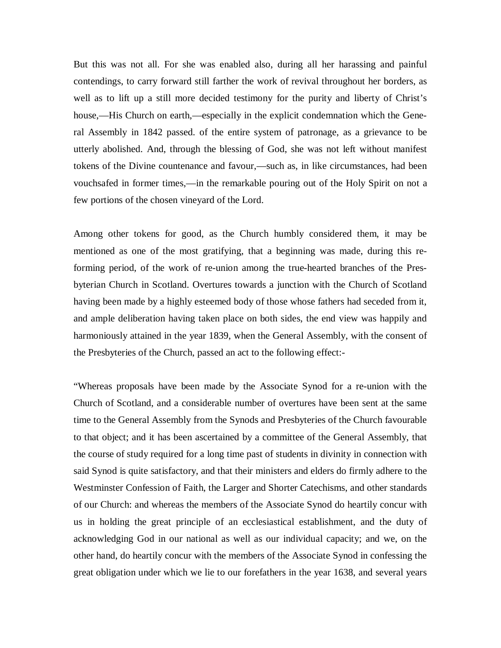But this was not all. For she was enabled also, during all her harassing and painful contendings, to carry forward still farther the work of revival throughout her borders, as well as to lift up a still more decided testimony for the purity and liberty of Christ's house,—His Church on earth,—especially in the explicit condemnation which the General Assembly in 1842 passed. of the entire system of patronage, as a grievance to be utterly abolished. And, through the blessing of God, she was not left without manifest tokens of the Divine countenance and favour,—such as, in like circumstances, had been vouchsafed in former times,—in the remarkable pouring out of the Holy Spirit on not a few portions of the chosen vineyard of the Lord.

Among other tokens for good, as the Church humbly considered them, it may be mentioned as one of the most gratifying, that a beginning was made, during this reforming period, of the work of re-union among the true-hearted branches of the Presbyterian Church in Scotland. Overtures towards a junction with the Church of Scotland having been made by a highly esteemed body of those whose fathers had seceded from it, and ample deliberation having taken place on both sides, the end view was happily and harmoniously attained in the year 1839, when the General Assembly, with the consent of the Presbyteries of the Church, passed an act to the following effect:-

"Whereas proposals have been made by the Associate Synod for a re-union with the Church of Scotland, and a considerable number of overtures have been sent at the same time to the General Assembly from the Synods and Presbyteries of the Church favourable to that object; and it has been ascertained by a committee of the General Assembly, that the course of study required for a long time past of students in divinity in connection with said Synod is quite satisfactory, and that their ministers and elders do firmly adhere to the Westminster Confession of Faith, the Larger and Shorter Catechisms, and other standards of our Church: and whereas the members of the Associate Synod do heartily concur with us in holding the great principle of an ecclesiastical establishment, and the duty of acknowledging God in our national as well as our individual capacity; and we, on the other hand, do heartily concur with the members of the Associate Synod in confessing the great obligation under which we lie to our forefathers in the year 1638, and several years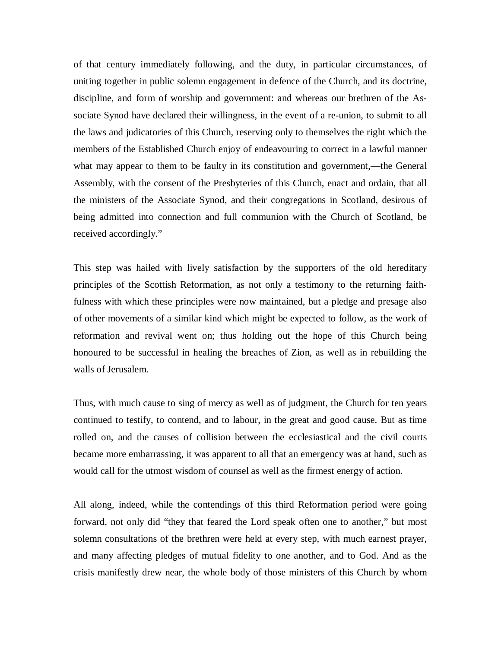of that century immediately following, and the duty, in particular circumstances, of uniting together in public solemn engagement in defence of the Church, and its doctrine, discipline, and form of worship and government: and whereas our brethren of the Associate Synod have declared their willingness, in the event of a re-union, to submit to all the laws and judicatories of this Church, reserving only to themselves the right which the members of the Established Church enjoy of endeavouring to correct in a lawful manner what may appear to them to be faulty in its constitution and government,—the General Assembly, with the consent of the Presbyteries of this Church, enact and ordain, that all the ministers of the Associate Synod, and their congregations in Scotland, desirous of being admitted into connection and full communion with the Church of Scotland, be received accordingly."

This step was hailed with lively satisfaction by the supporters of the old hereditary principles of the Scottish Reformation, as not only a testimony to the returning faithfulness with which these principles were now maintained, but a pledge and presage also of other movements of a similar kind which might be expected to follow, as the work of reformation and revival went on; thus holding out the hope of this Church being honoured to be successful in healing the breaches of Zion, as well as in rebuilding the walls of Jerusalem.

Thus, with much cause to sing of mercy as well as of judgment, the Church for ten years continued to testify, to contend, and to labour, in the great and good cause. But as time rolled on, and the causes of collision between the ecclesiastical and the civil courts became more embarrassing, it was apparent to all that an emergency was at hand, such as would call for the utmost wisdom of counsel as well as the firmest energy of action.

All along, indeed, while the contendings of this third Reformation period were going forward, not only did "they that feared the Lord speak often one to another," but most solemn consultations of the brethren were held at every step, with much earnest prayer, and many affecting pledges of mutual fidelity to one another, and to God. And as the crisis manifestly drew near, the whole body of those ministers of this Church by whom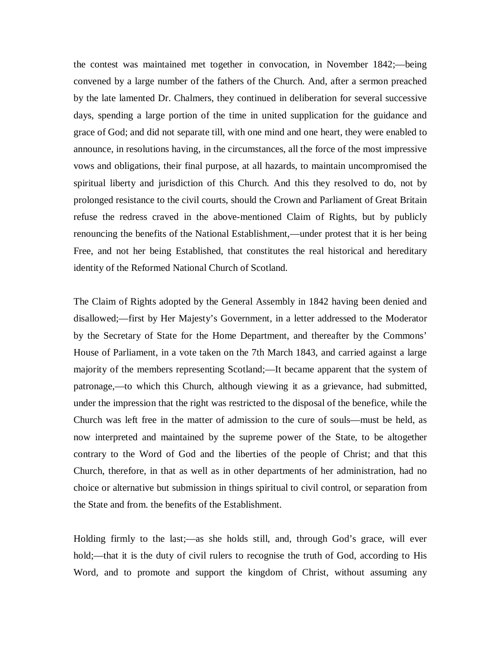the contest was maintained met together in convocation, in November 1842;—being convened by a large number of the fathers of the Church. And, after a sermon preached by the late lamented Dr. Chalmers, they continued in deliberation for several successive days, spending a large portion of the time in united supplication for the guidance and grace of God; and did not separate till, with one mind and one heart, they were enabled to announce, in resolutions having, in the circumstances, all the force of the most impressive vows and obligations, their final purpose, at all hazards, to maintain uncompromised the spiritual liberty and jurisdiction of this Church. And this they resolved to do, not by prolonged resistance to the civil courts, should the Crown and Parliament of Great Britain refuse the redress craved in the above-mentioned Claim of Rights, but by publicly renouncing the benefits of the National Establishment,—under protest that it is her being Free, and not her being Established, that constitutes the real historical and hereditary identity of the Reformed National Church of Scotland.

The Claim of Rights adopted by the General Assembly in 1842 having been denied and disallowed;—first by Her Majesty's Government, in a letter addressed to the Moderator by the Secretary of State for the Home Department, and thereafter by the Commons' House of Parliament, in a vote taken on the 7th March 1843, and carried against a large majority of the members representing Scotland;—It became apparent that the system of patronage,—to which this Church, although viewing it as a grievance, had submitted, under the impression that the right was restricted to the disposal of the benefice, while the Church was left free in the matter of admission to the cure of souls—must be held, as now interpreted and maintained by the supreme power of the State, to be altogether contrary to the Word of God and the liberties of the people of Christ; and that this Church, therefore, in that as well as in other departments of her administration, had no choice or alternative but submission in things spiritual to civil control, or separation from the State and from. the benefits of the Establishment.

Holding firmly to the last;—as she holds still, and, through God's grace, will ever hold;—that it is the duty of civil rulers to recognise the truth of God, according to His Word, and to promote and support the kingdom of Christ, without assuming any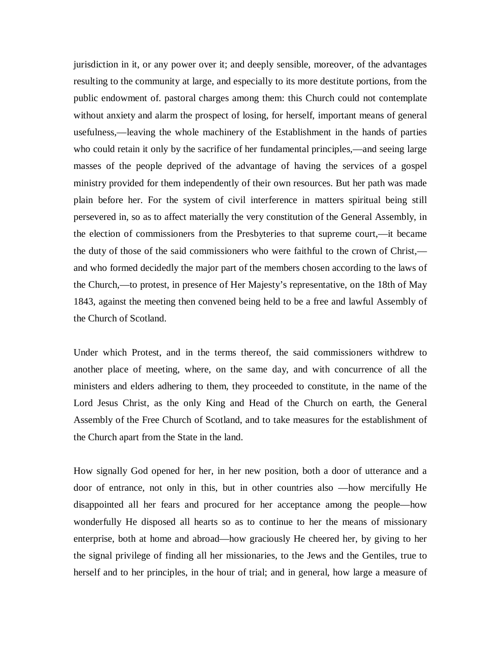jurisdiction in it, or any power over it; and deeply sensible, moreover, of the advantages resulting to the community at large, and especially to its more destitute portions, from the public endowment of. pastoral charges among them: this Church could not contemplate without anxiety and alarm the prospect of losing, for herself, important means of general usefulness,—leaving the whole machinery of the Establishment in the hands of parties who could retain it only by the sacrifice of her fundamental principles,—and seeing large masses of the people deprived of the advantage of having the services of a gospel ministry provided for them independently of their own resources. But her path was made plain before her. For the system of civil interference in matters spiritual being still persevered in, so as to affect materially the very constitution of the General Assembly, in the election of commissioners from the Presbyteries to that supreme court,—it became the duty of those of the said commissioners who were faithful to the crown of Christ, and who formed decidedly the major part of the members chosen according to the laws of the Church,—to protest, in presence of Her Majesty's representative, on the 18th of May 1843, against the meeting then convened being held to be a free and lawful Assembly of the Church of Scotland.

Under which Protest, and in the terms thereof, the said commissioners withdrew to another place of meeting, where, on the same day, and with concurrence of all the ministers and elders adhering to them, they proceeded to constitute, in the name of the Lord Jesus Christ, as the only King and Head of the Church on earth, the General Assembly of the Free Church of Scotland, and to take measures for the establishment of the Church apart from the State in the land.

How signally God opened for her, in her new position, both a door of utterance and a door of entrance, not only in this, but in other countries also —how mercifully He disappointed all her fears and procured for her acceptance among the people—how wonderfully He disposed all hearts so as to continue to her the means of missionary enterprise, both at home and abroad—how graciously He cheered her, by giving to her the signal privilege of finding all her missionaries, to the Jews and the Gentiles, true to herself and to her principles, in the hour of trial; and in general, how large a measure of